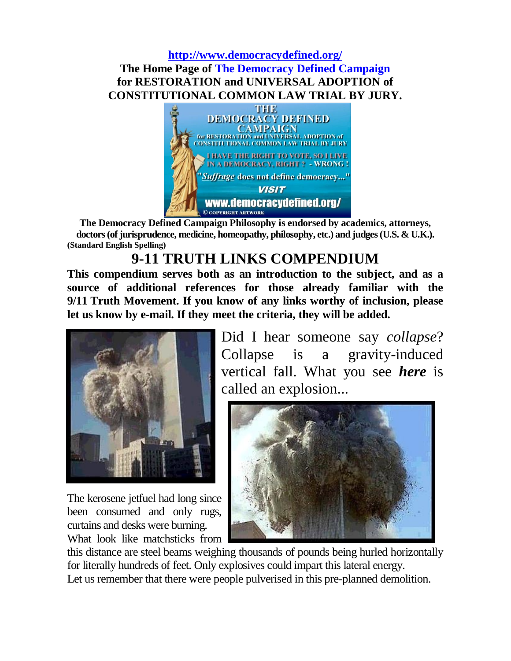# **<http://www.democracydefined.org/> The Home Page of The Democracy Defined Campaign for RESTORATION and UNIVERSAL ADOPTION of CONSTITUTIONAL COMMON LAW TRIAL BY JURY.**



**The Democracy Defined Campaign Philosophy is endorsed by academics, attorneys, doctors (of jurisprudence, medicine, homeopathy, philosophy, etc.) and judges (U.S. & U.K.). (Standard English Spelling)**

# **9-11 TRUTH LINKS COMPENDIUM**

**This compendium serves both as an introduction to the subject, and as a source of additional references for those already familiar with the 9/11 Truth Movement. If you know of any links worthy of inclusion, please let us know by e-mail. If they meet the criteria, they will be added.**



The kerosene jetfuel had long since been consumed and only rugs, curtains and desks were burning. What look like matchsticks from

Did I hear someone say *collapse*? Collapse is a gravity-induced vertical fall. What you see *here* is called an explosion...



this distance are steel beams weighing thousands of pounds being hurled horizontally for literally hundreds of feet. Only explosives could impart this lateral energy. Let us remember that there were people pulverised in this pre-planned demolition.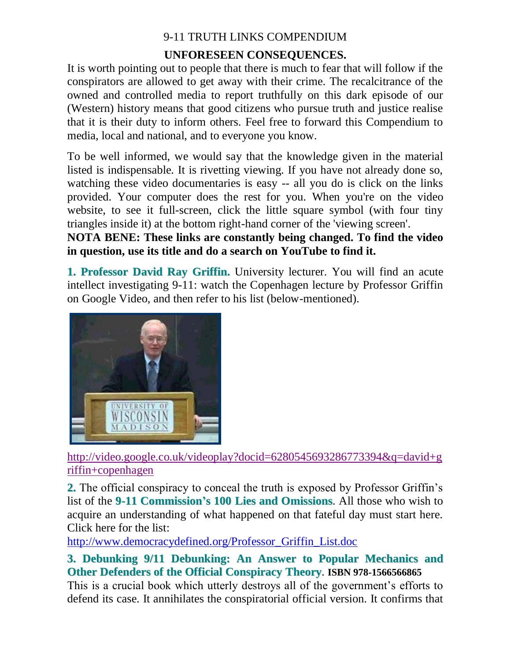# **UNFORESEEN CONSEQUENCES.**

It is worth pointing out to people that there is much to fear that will follow if the conspirators are allowed to get away with their crime. The recalcitrance of the owned and controlled media to report truthfully on this dark episode of our (Western) history means that good citizens who pursue truth and justice realise that it is their duty to inform others. Feel free to forward this Compendium to media, local and national, and to everyone you know.

To be well informed, we would say that the knowledge given in the material listed is indispensable. It is rivetting viewing. If you have not already done so, watching these video documentaries is easy -- all you do is click on the links provided. Your computer does the rest for you. When you're on the video website, to see it full-screen, click the little square symbol (with four tiny triangles inside it) at the bottom right-hand corner of the 'viewing screen'.

**NOTA BENE: These links are constantly being changed. To find the video in question, use its title and do a search on YouTube to find it.**

**1. Professor David Ray Griffin.** University lecturer. You will find an acute intellect investigating 9-11: watch the Copenhagen lecture by Professor Griffin on Google Video, and then refer to his list (below-mentioned).



[http://video.google.co.uk/videoplay?docid=6280545693286773394&q=david+g](http://video.google.co.uk/videoplay?docid=6280545693286773394&q=david+griffin+copenhagen) [riffin+copenhagen](http://video.google.co.uk/videoplay?docid=6280545693286773394&q=david+griffin+copenhagen)

**2.** The official conspiracy to conceal the truth is exposed by Professor Griffin's list of the **9-11 Commission's 100 Lies and Omissions**. All those who wish to acquire an understanding of what happened on that fateful day must start here. Click here for the list:

[http://www.democracydefined.org/Professor\\_Griffin\\_List.doc](http://www.democracydefined.org/Professor_Griffin_List.doc)

**3. Debunking 9/11 Debunking: An Answer to Popular Mechanics and Other Defenders of the Official Conspiracy Theory**. **ISBN 978-1566566865**

This is a crucial book which utterly destroys all of the government's efforts to defend its case. It annihilates the conspiratorial official version. It confirms that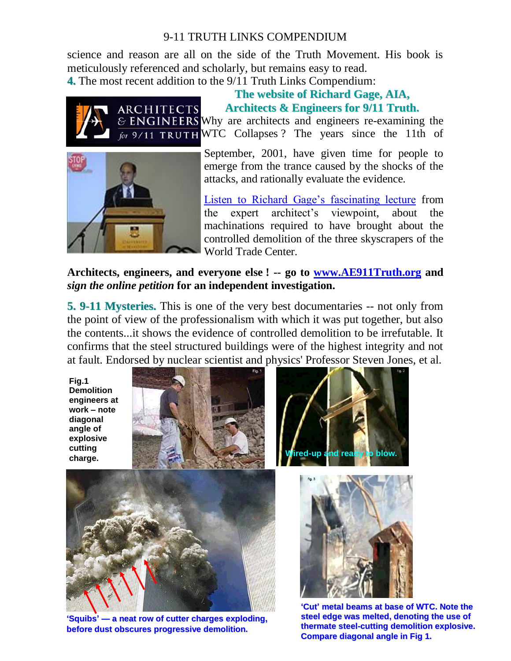science and reason are all on the side of the Truth Movement. His book is meticulously referenced and scholarly, but remains easy to read.

**4.** The most recent addition to the 9/11 Truth Links Compendium:



#### **The website of Richard Gage, AIA, Architects & Engineers for 9/11 Truth.**

& ENGINEERS Why are architects and engineers re-examining the for 9/11 TRUTH WTC Collapses ? The years since the 11th of



September, 2001, have given time for people to emerge from the trance caused by the shocks of the attacks, and rationally evaluate the evidence.

[Listen to Richard Gage's fascinating lecture](http://www.ae911truth.org/flashmov11.htm) from the expert architect's viewpoint, about the machinations required to have brought about the controlled demolition of the three skyscrapers of the World Trade Center.

**Architects, engineers, and everyone else ! -- go to [www.AE911Truth.org](http://www.ae911truth.org/) and**  *sign the online petition* **for an independent investigation.** 

**5. 9-11 Mysteries.** This is one of the very best documentaries -- not only from the point of view of the professionalism with which it was put together, but also the contents...it shows the evidence of controlled demolition to be irrefutable. It confirms that the steel structured buildings were of the highest integrity and not at fault. Endorsed by nuclear scientist and physics' Professor Steven Jones, et al.

**Fig.1 Demolition engineers at work – note diagonal angle of explosive cutting** 





**'Squibs' — a neat row of cutter charges exploding, before dust obscures progressive demolition.**





**'Cut' metal beams at base of WTC. Note the steel edge was melted, denoting the use of thermate steel-cutting demolition explosive. Compare diagonal angle in Fig 1.**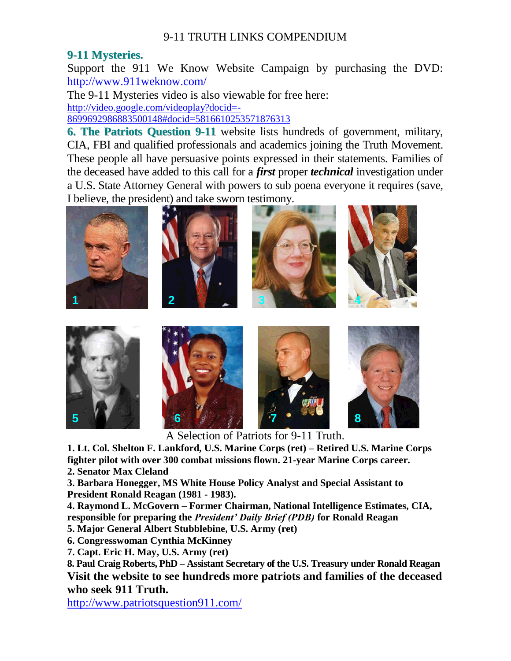#### **9-11 Mysteries.**

Support the 911 We Know Website Campaign by purchasing the DVD: <http://www.911weknow.com/>

The 9-11 Mysteries video is also viewable for free here:

[http://video.google.com/videoplay?docid=-](http://video.google.com/videoplay?docid=-8699692986883500148#docid=5816610253571876313)

[8699692986883500148#docid=5816610253571876313](http://video.google.com/videoplay?docid=-8699692986883500148#docid=5816610253571876313)

**6. The Patriots Question 9-11** website lists hundreds of government, military, CIA, FBI and qualified professionals and academics joining the Truth Movement. These people all have persuasive points expressed in their statements. Families of the deceased have added to this call for a *first* proper *technical* investigation under a U.S. State Attorney General with powers to sub poena everyone it requires (save, I believe, the president) and take sworn testimony.



A Selection of Patriots for 9-11 Truth.

**1. Lt. Col. Shelton F. Lankford, U.S. Marine Corps (ret) – Retired U.S. Marine Corps fighter pilot with over 300 combat missions flown. 21-year Marine Corps career.** 

**2. Senator Max Cleland**

**3. Barbara Honegger, MS White House Policy Analyst and Special Assistant to President Ronald Reagan (1981 - 1983).** 

**4. Raymond L. McGovern – Former Chairman, National Intelligence Estimates, CIA, responsible for preparing the** *President' Daily Brief (PDB)* **for Ronald Reagan** 

- **5. Major General Albert Stubblebine, U.S. Army (ret)**
- **6. Congresswoman Cynthia McKinney**
- **7. Capt. Eric H. May, U.S. Army (ret)**

**8. Paul Craig Roberts, PhD – Assistant Secretary of the U.S. Treasury under Ronald Reagan Visit the website to see hundreds more patriots and families of the deceased who seek 911 Truth.**

<http://www.patriotsquestion911.com/>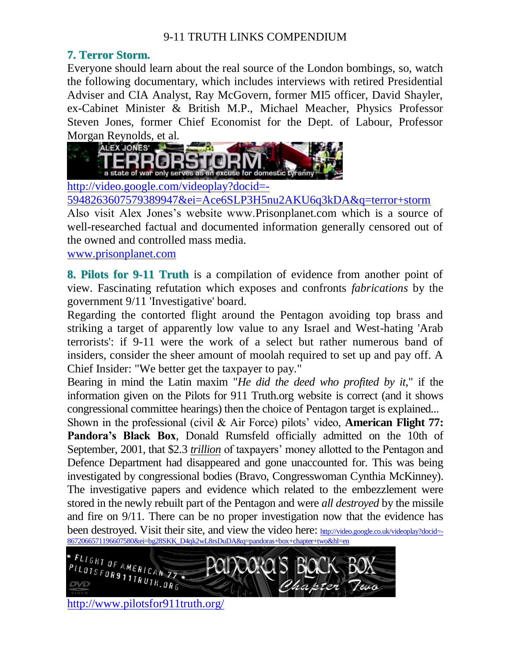# **7. Terror Storm.**

Everyone should learn about the real source of the London bombings, so, watch the following documentary, which includes interviews with retired Presidential Adviser and CIA Analyst, Ray McGovern, former MI5 officer, David Shayler, ex-Cabinet Minister & British M.P., Michael Meacher, Physics Professor Steven Jones, former Chief Economist for the Dept. of Labour, Professor Morgan Reynolds, et al.



[http://video.google.com/videoplay?docid=-](http://video.google.com/videoplay?docid=-5948263607579389947&ei=Ace6SLP3H5nu2AKU6q3kDA&q=terror+storm)

[5948263607579389947&ei=Ace6SLP3H5nu2AKU6q3kDA&q=terror+storm](http://video.google.com/videoplay?docid=-5948263607579389947&ei=Ace6SLP3H5nu2AKU6q3kDA&q=terror+storm)

Also visit Alex Jones's website www.Prisonplanet.com which is a source of well-researched factual and documented information generally censored out of the owned and controlled mass media.

[www.prisonplanet.com](http://www.prisonplanet.com/)

**8. Pilots for 9-11 Truth** is a compilation of evidence from another point of view. Fascinating refutation which exposes and confronts *fabrications* by the government 9/11 'Investigative' board.

Regarding the contorted flight around the Pentagon avoiding top brass and striking a target of apparently low value to any Israel and West-hating 'Arab terrorists': if 9-11 were the work of a select but rather numerous band of insiders, consider the sheer amount of moolah required to set up and pay off. A Chief Insider: "We better get the taxpayer to pay."

Bearing in mind the Latin maxim "*He did the deed who profited by it*," if the information given on the Pilots for 911 Truth.org website is correct (and it shows congressional committee hearings) then the choice of Pentagon target is explained...

Shown in the professional (civil & Air Force) pilots' video, **American Flight 77: Pandora's Black Box**, Donald Rumsfeld officially admitted on the 10th of September, 2001, that \$2.3 *trillion* of taxpayers' money allotted to the Pentagon and Defence Department had disappeared and gone unaccounted for. This was being investigated by congressional bodies (Bravo, Congresswoman Cynthia McKinney). The investigative papers and evidence which related to the embezzlement were stored in the newly rebuilt part of the Pentagon and were *all destroyed* by the missile and fire on 9/11. There can be no proper investigation now that the evidence has been destroyed. Visit their site, and view the video here: [http://video.google.co.uk/videoplay?docid=-](http://video.google.co.uk/videoplay?docid=-8672066571196607580&ei=bg28SKK_D4qk2wL8rsDuDA&q=pandoras+box+chapter+two&hl=en)<br>8672066571196607580&ei=bg28SKK D4ak2wL8rsDuDA&a=pandoras+box+chapter+two&hl=en [8672066571196607580&ei=bg28SKK\\_D4qk2wL8rsDuDA&q=pandoras+box+chapter+two&hl=en](http://video.google.co.uk/videoplay?docid=-8672066571196607580&ei=bg28SKK_D4qk2wL8rsDuDA&q=pandoras+box+chapter+two&hl=en)



<http://www.pilotsfor911truth.org/>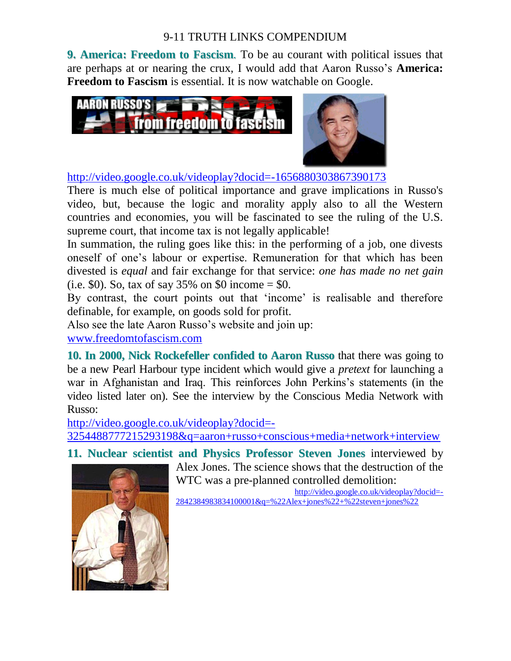**9. America: Freedom to Fascism**. To be au courant with political issues that are perhaps at or nearing the crux, I would add that Aaron Russo's **America: Freedom to Fascism** is essential. It is now watchable on Google.



<http://video.google.co.uk/videoplay?docid=-1656880303867390173>

There is much else of political importance and grave implications in Russo's video, but, because the logic and morality apply also to all the Western countries and economies, you will be fascinated to see the ruling of the U.S. supreme court, that income tax is not legally applicable!

In summation, the ruling goes like this: in the performing of a job, one divests oneself of one's labour or expertise. Remuneration for that which has been divested is *equal* and fair exchange for that service: *one has made no net gain* (i.e. \$0). So, tax of say 35% on \$0 income = \$0.

By contrast, the court points out that 'income' is realisable and therefore definable, for example, on goods sold for profit.

Also see the late Aaron Russo's website and join up:

[www.freedomtofascism.com](http://www.freedomtofascism.com/)

**10. In 2000, Nick Rockefeller confided to Aaron Russo** that there was going to be a new Pearl Harbour type incident which would give a *pretext* for launching a war in Afghanistan and Iraq. This reinforces John Perkins's statements (in the video listed later on). See the interview by the Conscious Media Network with Russo:

[http://video.google.co.uk/videoplay?docid=-](http://video.google.co.uk/videoplay?docid=-3254488777215293198&q=aaron+russo+conscious+media+network+interview)

[3254488777215293198&q=aaron+russo+conscious+media+network+interview](http://video.google.co.uk/videoplay?docid=-3254488777215293198&q=aaron+russo+conscious+media+network+interview)

**11. Nuclear scientist and Physics Professor Steven Jones** interviewed by



Alex Jones. The science shows that the destruction of the WTC was a pre-planned controlled demolition:

[http://video.google.co.uk/videoplay?docid=-](http://video.google.co.uk/videoplay?docid=-2842384983834100001&q=%22Alex+jones%22+%22steven+jones%22) [2842384983834100001&q=%22Alex+jones%22+%22steven+jones%22](http://video.google.co.uk/videoplay?docid=-2842384983834100001&q=%22Alex+jones%22+%22steven+jones%22)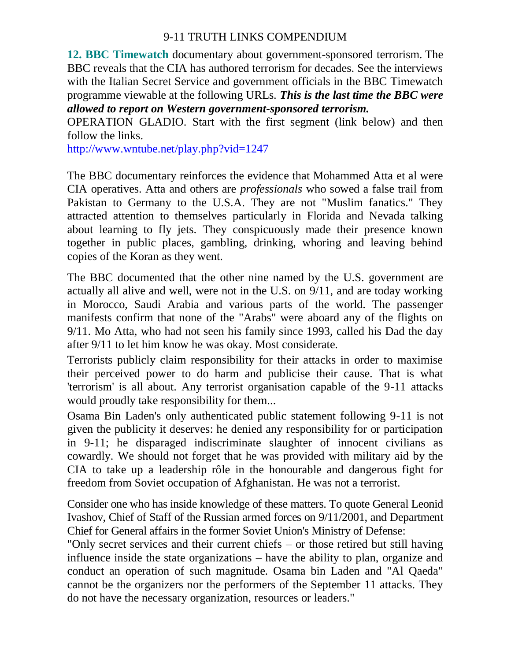**12. BBC Timewatch** documentary about government-sponsored terrorism. The BBC reveals that the CIA has authored terrorism for decades. See the interviews with the Italian Secret Service and government officials in the BBC Timewatch programme viewable at the following URLs. *This is the last time the BBC were allowed to report on Western government-sponsored terrorism.*

OPERATION GLADIO. Start with the first segment (link below) and then follow the links.

<http://www.wntube.net/play.php?vid=1247>

The BBC documentary reinforces the evidence that Mohammed Atta et al were CIA operatives. Atta and others are *professionals* who sowed a false trail from Pakistan to Germany to the U.S.A. They are not "Muslim fanatics." They attracted attention to themselves particularly in Florida and Nevada talking about learning to fly jets. They conspicuously made their presence known together in public places, gambling, drinking, whoring and leaving behind copies of the Koran as they went.

The BBC documented that the other nine named by the U.S. government are actually all alive and well, were not in the U.S. on 9/11, and are today working in Morocco, Saudi Arabia and various parts of the world. The passenger manifests confirm that none of the "Arabs" were aboard any of the flights on 9/11. Mo Atta, who had not seen his family since 1993, called his Dad the day after 9/11 to let him know he was okay. Most considerate.

Terrorists publicly claim responsibility for their attacks in order to maximise their perceived power to do harm and publicise their cause. That is what 'terrorism' is all about. Any terrorist organisation capable of the 9-11 attacks would proudly take responsibility for them...

Osama Bin Laden's only authenticated public statement following 9-11 is not given the publicity it deserves: he denied any responsibility for or participation in 9-11; he disparaged indiscriminate slaughter of innocent civilians as cowardly. We should not forget that he was provided with military aid by the CIA to take up a leadership rôle in the honourable and dangerous fight for freedom from Soviet occupation of Afghanistan. He was not a terrorist.

Consider one who has inside knowledge of these matters. To quote General Leonid Ivashov, Chief of Staff of the Russian armed forces on 9/11/2001, and Department Chief for General affairs in the former Soviet Union's Ministry of Defense:

"Only secret services and their current chiefs – or those retired but still having influence inside the state organizations – have the ability to plan, organize and conduct an operation of such magnitude. Osama bin Laden and "Al Qaeda" cannot be the organizers nor the performers of the September 11 attacks. They do not have the necessary organization, resources or leaders."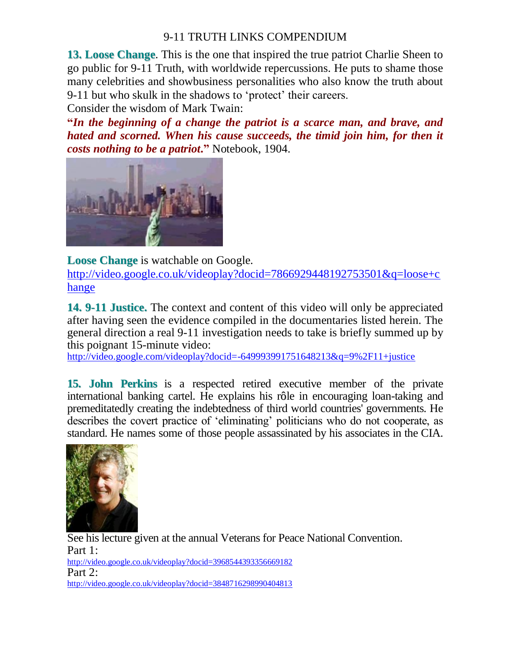**13. Loose Change**. This is the one that inspired the true patriot Charlie Sheen to go public for 9-11 Truth, with worldwide repercussions. He puts to shame those many celebrities and showbusiness personalities who also know the truth about 9-11 but who skulk in the shadows to 'protect' their careers.

Consider the wisdom of Mark Twain:

**"***In the beginning of a change the patriot is a scarce man, and brave, and hated and scorned. When his cause succeeds, the timid join him, for then it costs nothing to be a patriot***."** Notebook, 1904.



**Loose Change** is watchable on Google.

[http://video.google.co.uk/videoplay?docid=7866929448192753501&q=loose+c](http://video.google.co.uk/videoplay?docid=7866929448192753501&q=loose+change) [hange](http://video.google.co.uk/videoplay?docid=7866929448192753501&q=loose+change)

**14. 9-11 Justice.** The context and content of this video will only be appreciated after having seen the evidence compiled in the documentaries listed herein. The general direction a real 9-11 investigation needs to take is briefly summed up by this poignant 15-minute video:

<http://video.google.com/videoplay?docid=-649993991751648213&q=9%2F11+justice>

**15. John Perkins** is a respected retired executive member of the private international banking cartel. He explains his rôle in encouraging loan-taking and premeditatedly creating the indebtedness of third world countries' governments. He describes the covert practice of 'eliminating' politicians who do not cooperate, as standard. He names some of those people assassinated by his associates in the CIA.



See his lecture given at the annual Veterans for Peace National Convention. Part 1: <http://video.google.co.uk/videoplay?docid=3968544393356669182> Part 2: <http://video.google.co.uk/videoplay?docid=3848716298990404813>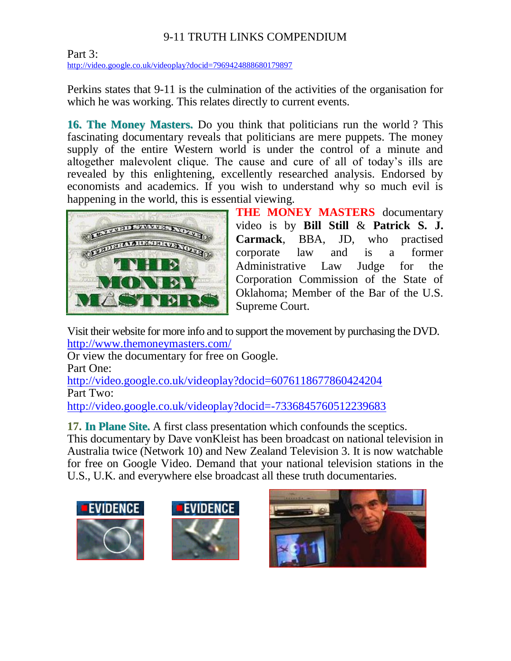Part 3: <http://video.google.co.uk/videoplay?docid=7969424888680179897>

Perkins states that 9-11 is the culmination of the activities of the organisation for which he was working. This relates directly to current events.

**16. The Money Masters.** Do you think that politicians run the world ? This fascinating documentary reveals that politicians are mere puppets. The money supply of the entire Western world is under the control of a minute and altogether malevolent clique. The cause and cure of all of today's ills are revealed by this enlightening, excellently researched analysis. Endorsed by economists and academics. If you wish to understand why so much evil is happening in the world, this is essential viewing.



**THE MONEY MASTERS** documentary video is by **Bill Still** & **Patrick S. J. Carmack**, BBA, JD, who practised corporate law and is a former Administrative Law Judge for the Corporation Commission of the State of Oklahoma; Member of the Bar of the U.S. Supreme Court.

Visit their website for more info and to support the movement by purchasing the DVD. <http://www.themoneymasters.com/>

Or view the documentary for free on Google.

Part One:

<http://video.google.co.uk/videoplay?docid=6076118677860424204> Part Two:

<http://video.google.co.uk/videoplay?docid=-7336845760512239683>

**17. In Plane Site.** A first class presentation which confounds the sceptics.

This documentary by Dave vonKleist has been broadcast on national television in Australia twice (Network 10) and New Zealand Television 3. It is now watchable for free on Google Video. Demand that your national television stations in the U.S., U.K. and everywhere else broadcast all these truth documentaries.